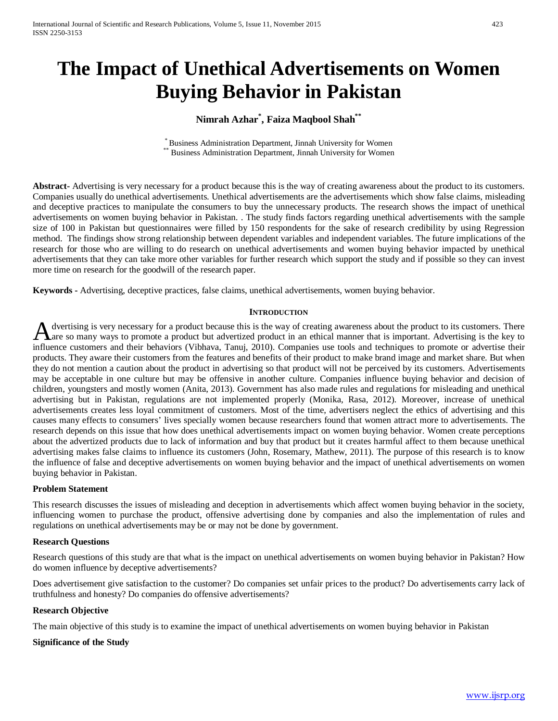# **The Impact of Unethical Advertisements on Women Buying Behavior in Pakistan**

# **Nimrah Azhar\* , Faiza Maqbool Shah\*\***

\* Business Administration Department, Jinnah University for Women \*\* Business Administration Department, Jinnah University for Women

**Abstract-** Advertising is very necessary for a product because this is the way of creating awareness about the product to its customers. Companies usually do unethical advertisements. Unethical advertisements are the advertisements which show false claims, misleading and deceptive practices to manipulate the consumers to buy the unnecessary products. The research shows the impact of unethical advertisements on women buying behavior in Pakistan. . The study finds factors regarding unethical advertisements with the sample size of 100 in Pakistan but questionnaires were filled by 150 respondents for the sake of research credibility by using Regression method. The findings show strong relationship between dependent variables and independent variables. The future implications of the research for those who are willing to do research on unethical advertisements and women buying behavior impacted by unethical advertisements that they can take more other variables for further research which support the study and if possible so they can invest more time on research for the goodwill of the research paper.

**Keywords -** Advertising, deceptive practices, false claims, unethical advertisements, women buying behavior.

#### **INTRODUCTION**

dvertising is very necessary for a product because this is the way of creating awareness about the product to its customers. There A dvertising is very necessary for a product because this is the way of creating awareness about the product to its customers. There are so many ways to promote a product but advertized product in an ethical manner that is influence customers and their behaviors (Vibhava, Tanuj, 2010). Companies use tools and techniques to promote or advertise their products. They aware their customers from the features and benefits of their product to make brand image and market share. But when they do not mention a caution about the product in advertising so that product will not be perceived by its customers. Advertisements may be acceptable in one culture but may be offensive in another culture. Companies influence buying behavior and decision of children, youngsters and mostly women (Anita, 2013). Government has also made rules and regulations for misleading and unethical advertising but in Pakistan, regulations are not implemented properly (Monika, Rasa, 2012). Moreover, increase of unethical advertisements creates less loyal commitment of customers. Most of the time, advertisers neglect the ethics of advertising and this causes many effects to consumers' lives specially women because researchers found that women attract more to advertisements. The research depends on this issue that how does unethical advertisements impact on women buying behavior. Women create perceptions about the advertized products due to lack of information and buy that product but it creates harmful affect to them because unethical advertising makes false claims to influence its customers (John, Rosemary, Mathew, 2011). The purpose of this research is to know the influence of false and deceptive advertisements on women buying behavior and the impact of unethical advertisements on women buying behavior in Pakistan.

#### **Problem Statement**

This research discusses the issues of misleading and deception in advertisements which affect women buying behavior in the society, influencing women to purchase the product, offensive advertising done by companies and also the implementation of rules and regulations on unethical advertisements may be or may not be done by government.

#### **Research Questions**

Research questions of this study are that what is the impact on unethical advertisements on women buying behavior in Pakistan? How do women influence by deceptive advertisements?

Does advertisement give satisfaction to the customer? Do companies set unfair prices to the product? Do advertisements carry lack of truthfulness and honesty? Do companies do offensive advertisements?

#### **Research Objective**

The main objective of this study is to examine the impact of unethical advertisements on women buying behavior in Pakistan

#### **Significance of the Study**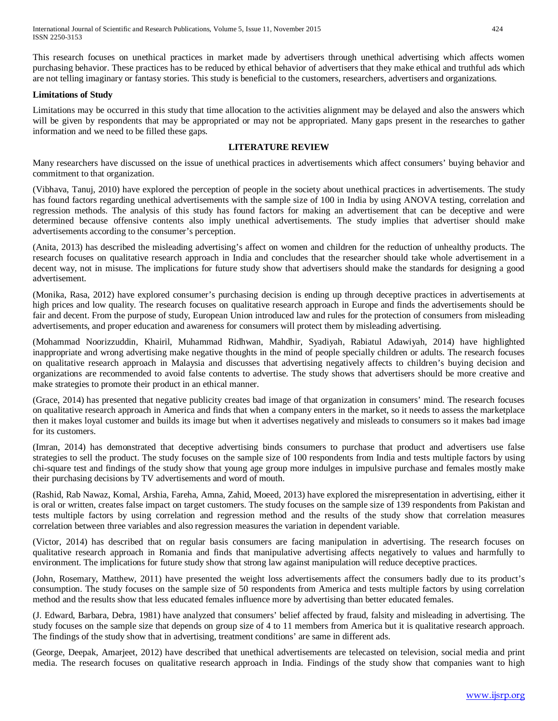This research focuses on unethical practices in market made by advertisers through unethical advertising which affects women purchasing behavior. These practices has to be reduced by ethical behavior of advertisers that they make ethical and truthful ads which are not telling imaginary or fantasy stories. This study is beneficial to the customers, researchers, advertisers and organizations.

# **Limitations of Study**

Limitations may be occurred in this study that time allocation to the activities alignment may be delayed and also the answers which will be given by respondents that may be appropriated or may not be appropriated. Many gaps present in the researches to gather information and we need to be filled these gaps.

# **LITERATURE REVIEW**

Many researchers have discussed on the issue of unethical practices in advertisements which affect consumers' buying behavior and commitment to that organization.

(Vibhava, Tanuj, 2010) have explored the perception of people in the society about unethical practices in advertisements. The study has found factors regarding unethical advertisements with the sample size of 100 in India by using ANOVA testing, correlation and regression methods. The analysis of this study has found factors for making an advertisement that can be deceptive and were determined because offensive contents also imply unethical advertisements. The study implies that advertiser should make advertisements according to the consumer's perception.

(Anita, 2013) has described the misleading advertising's affect on women and children for the reduction of unhealthy products. The research focuses on qualitative research approach in India and concludes that the researcher should take whole advertisement in a decent way, not in misuse. The implications for future study show that advertisers should make the standards for designing a good advertisement.

(Monika, Rasa, 2012) have explored consumer's purchasing decision is ending up through deceptive practices in advertisements at high prices and low quality. The research focuses on qualitative research approach in Europe and finds the advertisements should be fair and decent. From the purpose of study, European Union introduced law and rules for the protection of consumers from misleading advertisements, and proper education and awareness for consumers will protect them by misleading advertising.

(Mohammad Noorizzuddin, Khairil, Muhammad Ridhwan, Mahdhir, Syadiyah, Rabiatul Adawiyah, 2014) have highlighted inappropriate and wrong advertising make negative thoughts in the mind of people specially children or adults. The research focuses on qualitative research approach in Malaysia and discusses that advertising negatively affects to children's buying decision and organizations are recommended to avoid false contents to advertise. The study shows that advertisers should be more creative and make strategies to promote their product in an ethical manner.

(Grace, 2014) has presented that negative publicity creates bad image of that organization in consumers' mind. The research focuses on qualitative research approach in America and finds that when a company enters in the market, so it needs to assess the marketplace then it makes loyal customer and builds its image but when it advertises negatively and misleads to consumers so it makes bad image for its customers.

(Imran, 2014) has demonstrated that deceptive advertising binds consumers to purchase that product and advertisers use false strategies to sell the product. The study focuses on the sample size of 100 respondents from India and tests multiple factors by using chi-square test and findings of the study show that young age group more indulges in impulsive purchase and females mostly make their purchasing decisions by TV advertisements and word of mouth.

(Rashid, Rab Nawaz, Komal, Arshia, Fareha, Amna, Zahid, Moeed, 2013) have explored the misrepresentation in advertising, either it is oral or written, creates false impact on target customers. The study focuses on the sample size of 139 respondents from Pakistan and tests multiple factors by using correlation and regression method and the results of the study show that correlation measures correlation between three variables and also regression measures the variation in dependent variable.

(Victor, 2014) has described that on regular basis consumers are facing manipulation in advertising. The research focuses on qualitative research approach in Romania and finds that manipulative advertising affects negatively to values and harmfully to environment. The implications for future study show that strong law against manipulation will reduce deceptive practices.

(John, Rosemary, Matthew, 2011) have presented the weight loss advertisements affect the consumers badly due to its product's consumption. The study focuses on the sample size of 50 respondents from America and tests multiple factors by using correlation method and the results show that less educated females influence more by advertising than better educated females.

(J. Edward, Barbara, Debra, 1981) have analyzed that consumers' belief affected by fraud, falsity and misleading in advertising. The study focuses on the sample size that depends on group size of 4 to 11 members from America but it is qualitative research approach. The findings of the study show that in advertising, treatment conditions' are same in different ads.

(George, Deepak, Amarjeet, 2012) have described that unethical advertisements are telecasted on television, social media and print media. The research focuses on qualitative research approach in India. Findings of the study show that companies want to high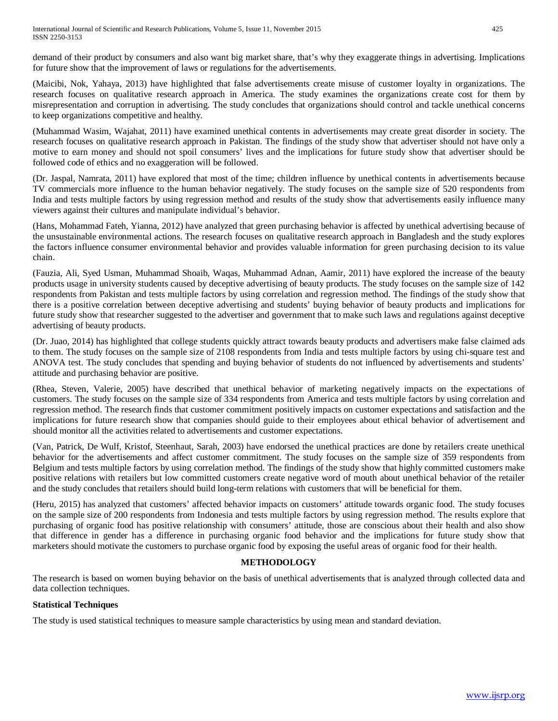demand of their product by consumers and also want big market share, that's why they exaggerate things in advertising. Implications for future show that the improvement of laws or regulations for the advertisements.

(Maicibi, Nok, Yahaya, 2013) have highlighted that false advertisements create misuse of customer loyalty in organizations. The research focuses on qualitative research approach in America. The study examines the organizations create cost for them by misrepresentation and corruption in advertising. The study concludes that organizations should control and tackle unethical concerns to keep organizations competitive and healthy.

(Muhammad Wasim, Wajahat, 2011) have examined unethical contents in advertisements may create great disorder in society. The research focuses on qualitative research approach in Pakistan. The findings of the study show that advertiser should not have only a motive to earn money and should not spoil consumers' lives and the implications for future study show that advertiser should be followed code of ethics and no exaggeration will be followed.

(Dr. Jaspal, Namrata, 2011) have explored that most of the time; children influence by unethical contents in advertisements because TV commercials more influence to the human behavior negatively. The study focuses on the sample size of 520 respondents from India and tests multiple factors by using regression method and results of the study show that advertisements easily influence many viewers against their cultures and manipulate individual's behavior.

(Hans, Mohammad Fateh, Yianna, 2012) have analyzed that green purchasing behavior is affected by unethical advertising because of the unsustainable environmental actions. The research focuses on qualitative research approach in Bangladesh and the study explores the factors influence consumer environmental behavior and provides valuable information for green purchasing decision to its value chain.

(Fauzia, Ali, Syed Usman, Muhammad Shoaib, Waqas, Muhammad Adnan, Aamir, 2011) have explored the increase of the beauty products usage in university students caused by deceptive advertising of beauty products. The study focuses on the sample size of 142 respondents from Pakistan and tests multiple factors by using correlation and regression method. The findings of the study show that there is a positive correlation between deceptive advertising and students' buying behavior of beauty products and implications for future study show that researcher suggested to the advertiser and government that to make such laws and regulations against deceptive advertising of beauty products.

(Dr. Juao, 2014) has highlighted that college students quickly attract towards beauty products and advertisers make false claimed ads to them. The study focuses on the sample size of 2108 respondents from India and tests multiple factors by using chi-square test and ANOVA test. The study concludes that spending and buying behavior of students do not influenced by advertisements and students' attitude and purchasing behavior are positive.

(Rhea, Steven, Valerie, 2005) have described that unethical behavior of marketing negatively impacts on the expectations of customers. The study focuses on the sample size of 334 respondents from America and tests multiple factors by using correlation and regression method. The research finds that customer commitment positively impacts on customer expectations and satisfaction and the implications for future research show that companies should guide to their employees about ethical behavior of advertisement and should monitor all the activities related to advertisements and customer expectations.

(Van, Patrick, De Wulf, Kristof, Steenhaut, Sarah, 2003) have endorsed the unethical practices are done by retailers create unethical behavior for the advertisements and affect customer commitment. The study focuses on the sample size of 359 respondents from Belgium and tests multiple factors by using correlation method. The findings of the study show that highly committed customers make positive relations with retailers but low committed customers create negative word of mouth about unethical behavior of the retailer and the study concludes that retailers should build long-term relations with customers that will be beneficial for them.

(Heru, 2015) has analyzed that customers' affected behavior impacts on customers' attitude towards organic food. The study focuses on the sample size of 200 respondents from Indonesia and tests multiple factors by using regression method. The results explore that purchasing of organic food has positive relationship with consumers' attitude, those are conscious about their health and also show that difference in gender has a difference in purchasing organic food behavior and the implications for future study show that marketers should motivate the customers to purchase organic food by exposing the useful areas of organic food for their health.

# **METHODOLOGY**

The research is based on women buying behavior on the basis of unethical advertisements that is analyzed through collected data and data collection techniques.

# **Statistical Techniques**

The study is used statistical techniques to measure sample characteristics by using mean and standard deviation.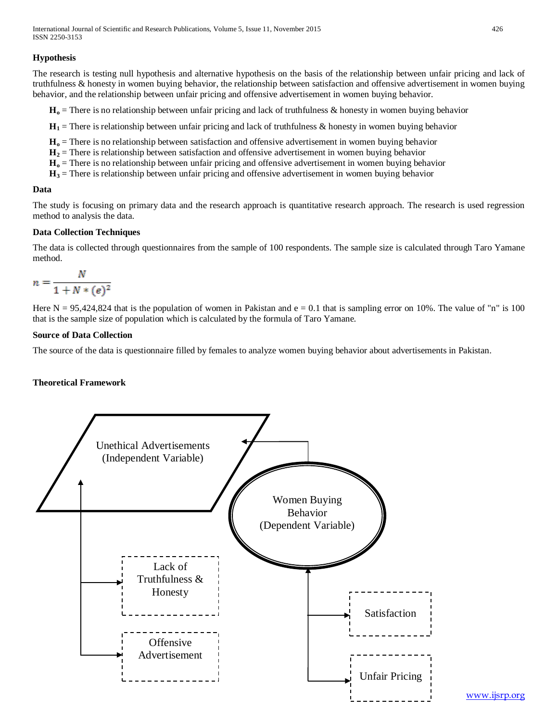# **Hypothesis**

The research is testing null hypothesis and alternative hypothesis on the basis of the relationship between unfair pricing and lack of truthfulness & honesty in women buying behavior, the relationship between satisfaction and offensive advertisement in women buying behavior, and the relationship between unfair pricing and offensive advertisement in women buying behavior.

**Ho** = There is no relationship between unfair pricing and lack of truthfulness & honesty in women buying behavior

 $H_1$  = There is relationship between unfair pricing and lack of truthfulness & honesty in women buying behavior

- **Ho** = There is no relationship between satisfaction and offensive advertisement in women buying behavior
- $H<sub>2</sub>$  = There is relationship between satisfaction and offensive advertisement in women buying behavior
- **Ho** = There is no relationship between unfair pricing and offensive advertisement in women buying behavior
- **H3** = There is relationship between unfair pricing and offensive advertisement in women buying behavior

#### **Data**

The study is focusing on primary data and the research approach is quantitative research approach. The research is used regression method to analysis the data.

#### **Data Collection Techniques**

The data is collected through questionnaires from the sample of 100 respondents. The sample size is calculated through Taro Yamane method.

$$
n = \frac{N}{1 + N * (e)^2}
$$

Here  $N = 95,424,824$  that is the population of women in Pakistan and  $e = 0.1$  that is sampling error on 10%. The value of "n" is 100 that is the sample size of population which is calculated by the formula of Taro Yamane.

# **Source of Data Collection**

The source of the data is questionnaire filled by females to analyze women buying behavior about advertisements in Pakistan.

# **Theoretical Framework**



#### [www.ijsrp.org](http://ijsrp.org/)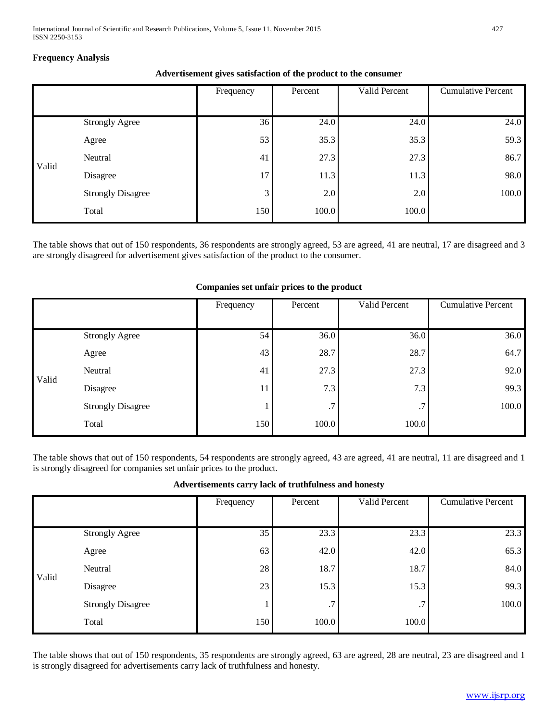# **Frequency Analysis**

# **Advertisement gives satisfaction of the product to the consumer**

|       |                          | Frequency | Percent | Valid Percent | <b>Cumulative Percent</b> |
|-------|--------------------------|-----------|---------|---------------|---------------------------|
|       |                          |           |         |               |                           |
|       | <b>Strongly Agree</b>    | 36        | 24.0    | 24.0          | 24.0                      |
|       | Agree                    | 53        | 35.3    | 35.3          | 59.3                      |
| Valid | Neutral                  | 41        | 27.3    | 27.3          | 86.7                      |
|       | Disagree                 | 17        | 11.3    | 11.3          | 98.0                      |
|       | <b>Strongly Disagree</b> | 3         | 2.0     | 2.0           | 100.0                     |
|       | Total                    | 150       | 100.0   | 100.0         |                           |

The table shows that out of 150 respondents, 36 respondents are strongly agreed, 53 are agreed, 41 are neutral, 17 are disagreed and 3 are strongly disagreed for advertisement gives satisfaction of the product to the consumer.

|       |                          | Frequency | Percent | Valid Percent | <b>Cumulative Percent</b> |
|-------|--------------------------|-----------|---------|---------------|---------------------------|
|       |                          |           |         |               |                           |
|       | <b>Strongly Agree</b>    | 54        | 36.0    | 36.0          | 36.0                      |
|       | Agree                    | 43        | 28.7    | 28.7          | 64.7                      |
| Valid | Neutral                  | 41        | 27.3    | 27.3          | 92.0                      |
|       | Disagree                 | 11        | 7.3     | 7.3           | 99.3                      |
|       | <b>Strongly Disagree</b> |           | .7      | .7            | 100.0                     |
|       | Total                    | 150       | 100.0   | 100.0         |                           |

#### **Companies set unfair prices to the product**

The table shows that out of 150 respondents, 54 respondents are strongly agreed, 43 are agreed, 41 are neutral, 11 are disagreed and 1 is strongly disagreed for companies set unfair prices to the product.

| Advertisements carry lack of truthfulness and honesty |  |  |
|-------------------------------------------------------|--|--|
|                                                       |  |  |

|       |                          | Frequency | Percent | Valid Percent | <b>Cumulative Percent</b> |
|-------|--------------------------|-----------|---------|---------------|---------------------------|
|       |                          |           |         |               |                           |
|       | <b>Strongly Agree</b>    | 35        | 23.3    | 23.3          | 23.3                      |
|       | Agree                    | 63        | 42.0    | 42.0          | 65.3                      |
| Valid | Neutral                  | 28        | 18.7    | 18.7          | 84.0                      |
|       | Disagree                 | 23        | 15.3    | 15.3          | 99.3                      |
|       | <b>Strongly Disagree</b> |           | .7      | .7            | 100.0                     |
|       | Total                    | 150       | 100.0   | 100.0         |                           |

The table shows that out of 150 respondents, 35 respondents are strongly agreed, 63 are agreed, 28 are neutral, 23 are disagreed and 1 is strongly disagreed for advertisements carry lack of truthfulness and honesty.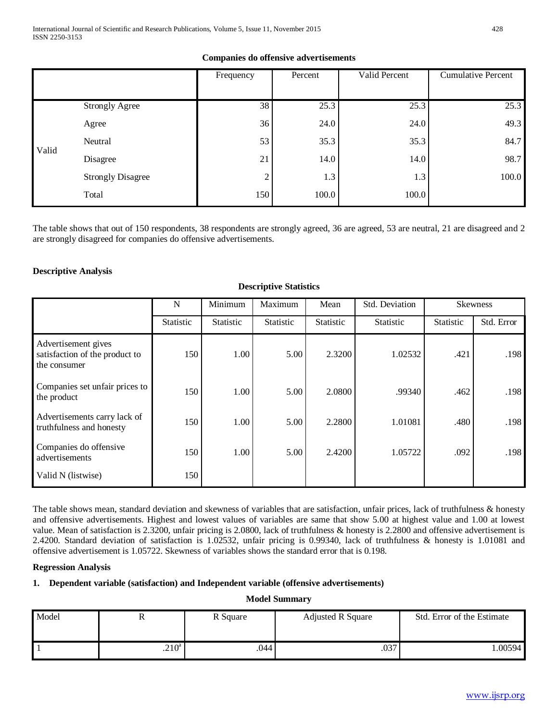# **Companies do offensive advertisements**

|       |                          | Frequency | Percent | Valid Percent | <b>Cumulative Percent</b> |
|-------|--------------------------|-----------|---------|---------------|---------------------------|
|       |                          |           |         |               |                           |
|       | <b>Strongly Agree</b>    | 38        | 25.3    | 25.3          | 25.3                      |
|       | Agree                    | 36        | 24.0    | 24.0          | 49.3                      |
| Valid | Neutral                  | 53        | 35.3    | 35.3          | 84.7                      |
|       | Disagree                 | 21        | 14.0    | 14.0          | 98.7                      |
|       | <b>Strongly Disagree</b> | ◠         | 1.3     | 1.3           | 100.0                     |
|       | Total                    | 150       | 100.0   | 100.0         |                           |

The table shows that out of 150 respondents, 38 respondents are strongly agreed, 36 are agreed, 53 are neutral, 21 are disagreed and 2 are strongly disagreed for companies do offensive advertisements.

**Descriptive Statistics**

# **Descriptive Analysis**

|                                                                       | N         | Minimum<br>Maximum<br>Mean |                  | Std. Deviation   | <b>Skewness</b>  |                  |            |
|-----------------------------------------------------------------------|-----------|----------------------------|------------------|------------------|------------------|------------------|------------|
|                                                                       | Statistic | Statistic                  | <b>Statistic</b> | <b>Statistic</b> | <b>Statistic</b> | <b>Statistic</b> | Std. Error |
| Advertisement gives<br>satisfaction of the product to<br>the consumer | 150       | 1.00                       | 5.00             | 2.3200           | 1.02532          | .421             | .198       |
| Companies set unfair prices to<br>the product                         | 150       | 1.00                       | 5.00             | 2.0800           | .99340           | .462             | .198       |
| Advertisements carry lack of<br>truthfulness and honesty              | 150       | 1.00                       | 5.00             | 2.2800           | 1.01081          | .480             | .198       |
| Companies do offensive<br>advertisements                              | 150       | 1.00                       | 5.00             | 2.4200           | 1.05722          | .092             | .198       |
| Valid N (listwise)                                                    | 150       |                            |                  |                  |                  |                  |            |

The table shows mean, standard deviation and skewness of variables that are satisfaction, unfair prices, lack of truthfulness & honesty and offensive advertisements. Highest and lowest values of variables are same that show 5.00 at highest value and 1.00 at lowest value. Mean of satisfaction is 2.3200, unfair pricing is 2.0800, lack of truthfulness & honesty is 2.2800 and offensive advertisement is 2.4200. Standard deviation of satisfaction is 1.02532, unfair pricing is 0.99340, lack of truthfulness & honesty is 1.01081 and offensive advertisement is 1.05722. Skewness of variables shows the standard error that is 0.198.

#### **Regression Analysis**

# **1. Dependent variable (satisfaction) and Independent variable (offensive advertisements)**

#### **Model Summary**

| Model | 17                | R Square | <b>Adjusted R Square</b> | Std. Error of the Estimate |  |
|-------|-------------------|----------|--------------------------|----------------------------|--|
|       |                   |          |                          |                            |  |
|       | .210 <sup>a</sup> | .044     | .037                     | .00594                     |  |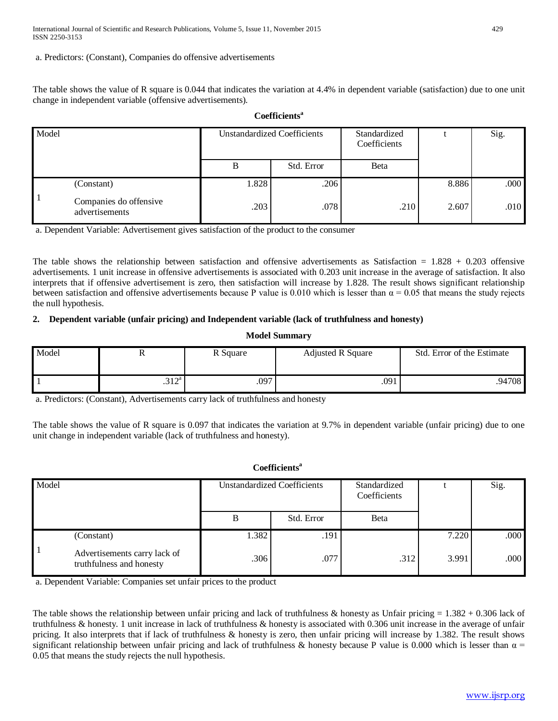a. Predictors: (Constant), Companies do offensive advertisements

The table shows the value of R square is 0.044 that indicates the variation at 4.4% in dependent variable (satisfaction) due to one unit change in independent variable (offensive advertisements).

# **Coefficientsa**

| Model |                                          | <b>Unstandardized Coefficients</b> |            | Standardized<br>Coefficients |       | Sig. |
|-------|------------------------------------------|------------------------------------|------------|------------------------------|-------|------|
|       |                                          | B                                  | Std. Error | Beta                         |       |      |
|       | (Constant)                               | 1.828                              | .206       |                              | 8.886 | .000 |
|       | Companies do offensive<br>advertisements | .203                               | .078       | .210                         | 2.607 | .010 |

a. Dependent Variable: Advertisement gives satisfaction of the product to the consumer

The table shows the relationship between satisfaction and offensive advertisements as Satisfaction  $= 1.828 + 0.203$  offensive advertisements. 1 unit increase in offensive advertisements is associated with 0.203 unit increase in the average of satisfaction. It also interprets that if offensive advertisement is zero, then satisfaction will increase by 1.828. The result shows significant relationship between satisfaction and offensive advertisements because P value is 0.010 which is lesser than  $\alpha = 0.05$  that means the study rejects the null hypothesis.

# **2. Dependent variable (unfair pricing) and Independent variable (lack of truthfulness and honesty)**

#### **Model Summary**

| Model | 17            | R Square | <b>Adjusted R Square</b> | Std. Error of the Estimate |
|-------|---------------|----------|--------------------------|----------------------------|
|       |               |          |                          |                            |
|       | 212a<br>∟ د ۰ | .097     | .091                     | .94708                     |

a. Predictors: (Constant), Advertisements carry lack of truthfulness and honesty

The table shows the value of R square is 0.097 that indicates the variation at 9.7% in dependent variable (unfair pricing) due to one unit change in independent variable (lack of truthfulness and honesty).

# **Coefficientsa**

| Model |                                                          | <b>Unstandardized Coefficients</b> |            | Standardized<br>Coefficients |       | Sig. |
|-------|----------------------------------------------------------|------------------------------------|------------|------------------------------|-------|------|
|       |                                                          | B                                  | Std. Error | <b>B</b> eta                 |       |      |
|       | (Constant)                                               | 1.382                              | .191       |                              | 7.220 | .000 |
|       | Advertisements carry lack of<br>truthfulness and honesty | .306                               | .077       | .312                         | 3.991 | .000 |

a. Dependent Variable: Companies set unfair prices to the product

The table shows the relationship between unfair pricing and lack of truthfulness & honesty as Unfair pricing  $= 1.382 + 0.306$  lack of truthfulness & honesty. 1 unit increase in lack of truthfulness & honesty is associated with 0.306 unit increase in the average of unfair pricing. It also interprets that if lack of truthfulness & honesty is zero, then unfair pricing will increase by 1.382. The result shows significant relationship between unfair pricing and lack of truthfulness & honesty because P value is 0.000 which is lesser than  $\alpha$  = 0.05 that means the study rejects the null hypothesis.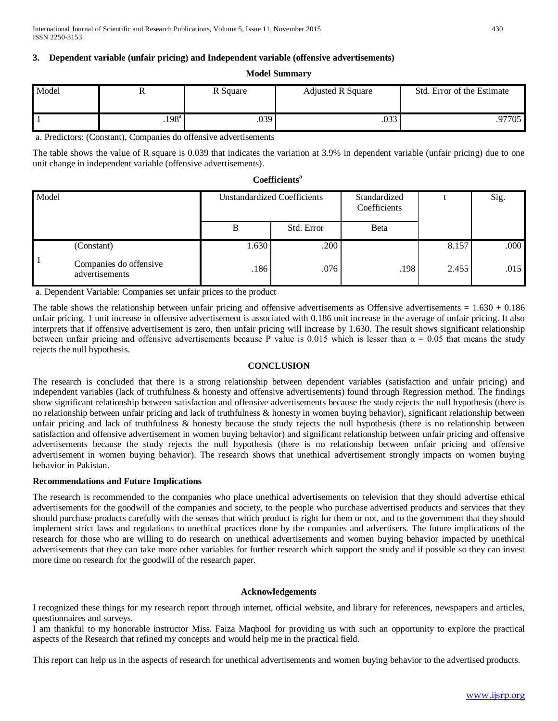# **3. Dependent variable (unfair pricing) and Independent variable (offensive advertisements)**

#### **Model Summary**

| Model |                   | R Square | <b>Adjusted R Square</b> | Std. Error of the Estimate |
|-------|-------------------|----------|--------------------------|----------------------------|
|       | .198 <sup>a</sup> | .039     | .033                     | 97705                      |

a. Predictors: (Constant), Companies do offensive advertisements

The table shows the value of R square is 0.039 that indicates the variation at 3.9% in dependent variable (unfair pricing) due to one unit change in independent variable (offensive advertisements).

### **Coefficientsa**

| Model |                                          | <b>Unstandardized Coefficients</b> |            | Standardized<br>Coefficients |       | Sig. |
|-------|------------------------------------------|------------------------------------|------------|------------------------------|-------|------|
|       |                                          | В                                  | Std. Error | Beta                         |       |      |
|       | (Constant)                               | 1.630                              | .200       |                              | 8.157 | .000 |
|       | Companies do offensive<br>advertisements | .186                               | .076       | .198                         | 2.455 | .015 |

a. Dependent Variable: Companies set unfair prices to the product

The table shows the relationship between unfair pricing and offensive advertisements as Offensive advertisements  $= 1.630 + 0.186$ unfair pricing. 1 unit increase in offensive advertisement is associated with 0.186 unit increase in the average of unfair pricing. It also interprets that if offensive advertisement is zero, then unfair pricing will increase by 1.630. The result shows significant relationship between unfair pricing and offensive advertisements because P value is 0.015 which is lesser than  $\alpha = 0.05$  that means the study rejects the null hypothesis.

# **CONCLUSION**

The research is concluded that there is a strong relationship between dependent variables (satisfaction and unfair pricing) and independent variables (lack of truthfulness & honesty and offensive advertisements) found through Regression method. The findings show significant relationship between satisfaction and offensive advertisements because the study rejects the null hypothesis (there is no relationship between unfair pricing and lack of truthfulness & honesty in women buying behavior), significant relationship between unfair pricing and lack of truthfulness & honesty because the study rejects the null hypothesis (there is no relationship between satisfaction and offensive advertisement in women buying behavior) and significant relationship between unfair pricing and offensive advertisements because the study rejects the null hypothesis (there is no relationship between unfair pricing and offensive advertisement in women buying behavior). The research shows that unethical advertisement strongly impacts on women buying behavior in Pakistan.

#### **Recommendations and Future Implications**

The research is recommended to the companies who place unethical advertisements on television that they should advertise ethical advertisements for the goodwill of the companies and society, to the people who purchase advertised products and services that they should purchase products carefully with the senses that which product is right for them or not, and to the government that they should implement strict laws and regulations to unethical practices done by the companies and advertisers. The future implications of the research for those who are willing to do research on unethical advertisements and women buying behavior impacted by unethical advertisements that they can take more other variables for further research which support the study and if possible so they can invest more time on research for the goodwill of the research paper.

#### **Acknowledgements**

I recognized these things for my research report through internet, official website, and library for references, newspapers and articles, questionnaires and surveys.

I am thankful to my honorable instructor Miss. Faiza Maqbool for providing us with such an opportunity to explore the practical aspects of the Research that refined my concepts and would help me in the practical field.

This report can help us in the aspects of research for unethical advertisements and women buying behavior to the advertised products.